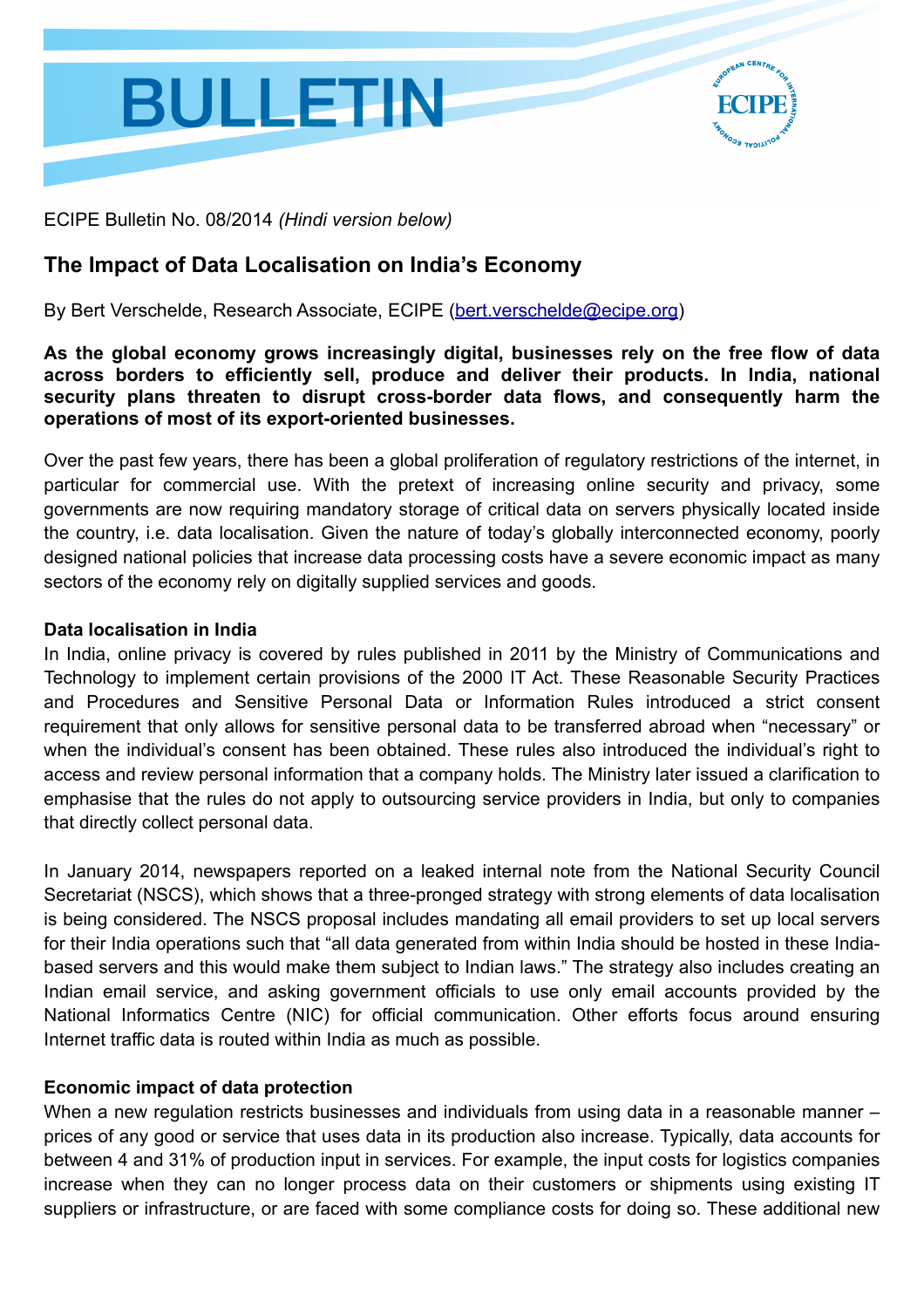

ECIPE Bulletin No. 08/2014 *(Hindi version below)*

### **The Impact of Data Localisation on India's Economy**

By Bert Verschelde, Research Associate, ECIPE [\(bert.verschelde@ecipe.org\)](mailto:bert.verschelde@ecipe.org?subject=)

**As the global economy grows increasingly digital, businesses rely on the free flow of data across borders to efficiently sell, produce and deliver their products. In India, national security plans threaten to disrupt cross-border data flows, and consequently harm the operations of most of its export-oriented businesses.**

Over the past few years, there has been a global proliferation of regulatory restrictions of the internet, in particular for commercial use. With the pretext of increasing online security and privacy, some governments are now requiring mandatory storage of critical data on servers physically located inside the country, i.e. data localisation. Given the nature of today's globally interconnected economy, poorly designed national policies that increase data processing costs have a severe economic impact as many sectors of the economy rely on digitally supplied services and goods.

#### **Data localisation in India**

In India, online privacy is covered by rules published in 2011 by the Ministry of Communications and Technology to implement certain provisions of the 2000 IT Act. These Reasonable Security Practices and Procedures and Sensitive Personal Data or Information Rules introduced a strict consent requirement that only allows for sensitive personal data to be transferred abroad when "necessary" or when the individual's consent has been obtained. These rules also introduced the individual's right to access and review personal information that a company holds. The Ministry later issued a clarification to emphasise that the rules do not apply to outsourcing service providers in India, but only to companies that directly collect personal data.

In January 2014, newspapers reported on a leaked internal note from the National Security Council Secretariat (NSCS), which shows that a three-pronged strategy with strong elements of data localisation is being considered. The NSCS proposal includes mandating all email providers to set up local servers for their India operations such that "all data generated from within India should be hosted in these Indiabased servers and this would make them subject to Indian laws." The strategy also includes creating an Indian email service, and asking government officials to use only email accounts provided by the National Informatics Centre (NIC) for official communication. Other efforts focus around ensuring Internet traffic data is routed within India as much as possible.

### **Economic impact of data protection**

When a new regulation restricts businesses and individuals from using data in a reasonable manner – prices of any good or service that uses data in its production also increase. Typically, data accounts for between 4 and 31% of production input in services. For example, the input costs for logistics companies increase when they can no longer process data on their customers or shipments using existing IT suppliers or infrastructure, or are faced with some compliance costs for doing so. These additional new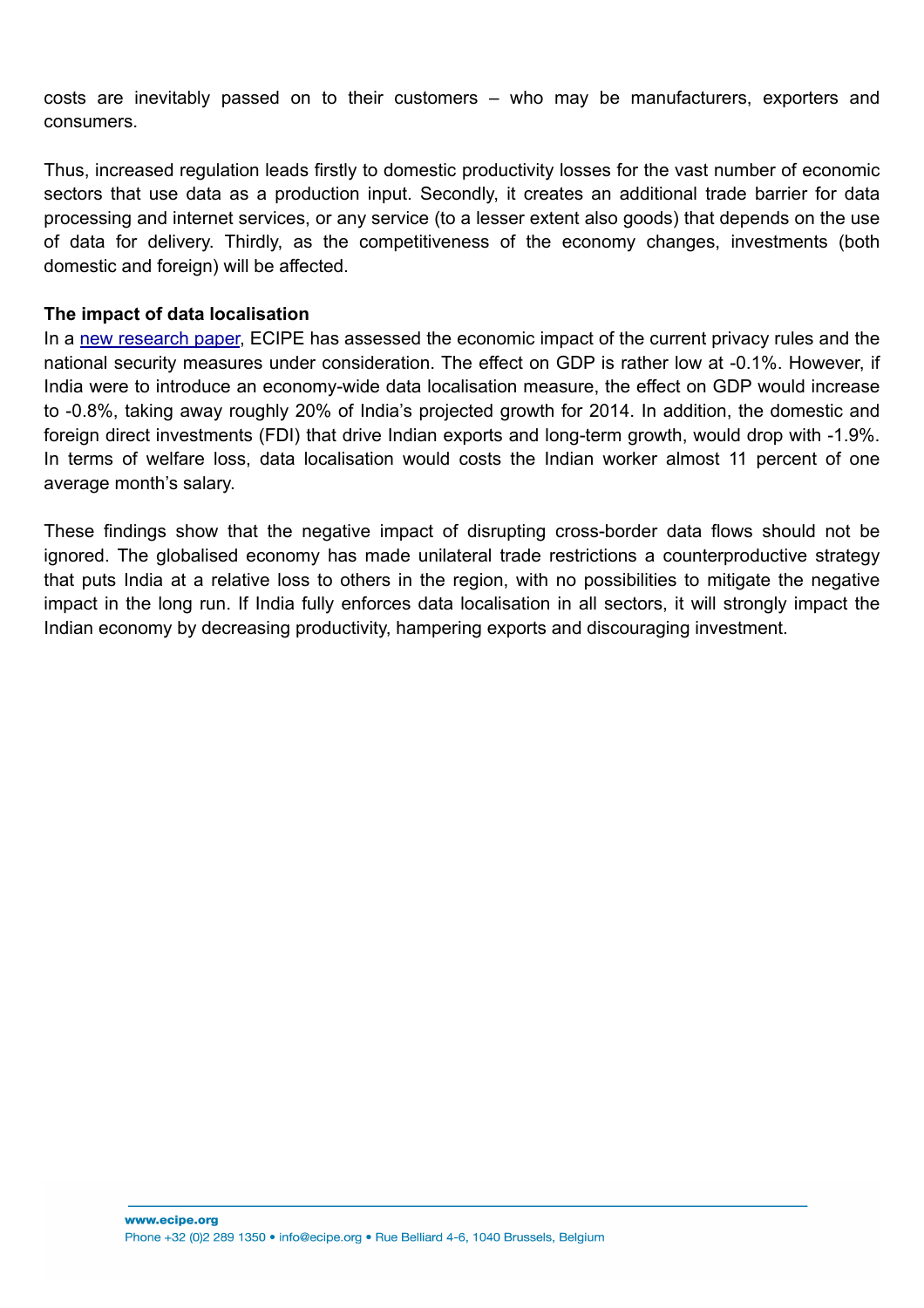costs are inevitably passed on to their customers – who may be manufacturers, exporters and consumers.

Thus, increased regulation leads firstly to domestic productivity losses for the vast number of economic sectors that use data as a production input. Secondly, it creates an additional trade barrier for data processing and internet services, or any service (to a lesser extent also goods) that depends on the use of data for delivery. Thirdly, as the competitiveness of the economy changes, investments (both domestic and foreign) will be affected.

### **The impact of data localisation**

In a [new research paper](http://www.ecipe.org/publications/dataloc), ECIPE has assessed the economic impact of the current privacy rules and the national security measures under consideration. The effect on GDP is rather low at -0.1%. However, if India were to introduce an economy-wide data localisation measure, the effect on GDP would increase to -0.8%, taking away roughly 20% of India's projected growth for 2014. In addition, the domestic and foreign direct investments (FDI) that drive Indian exports and long-term growth, would drop with -1.9%. In terms of welfare loss, data localisation would costs the Indian worker almost 11 percent of one average month's salary.

These findings show that the negative impact of disrupting cross-border data flows should not be ignored. The globalised economy has made unilateral trade restrictions a counterproductive strategy that puts India at a relative loss to others in the region, with no possibilities to mitigate the negative impact in the long run. If India fully enforces data localisation in all sectors, it will strongly impact the Indian economy by decreasing productivity, hampering exports and discouraging investment.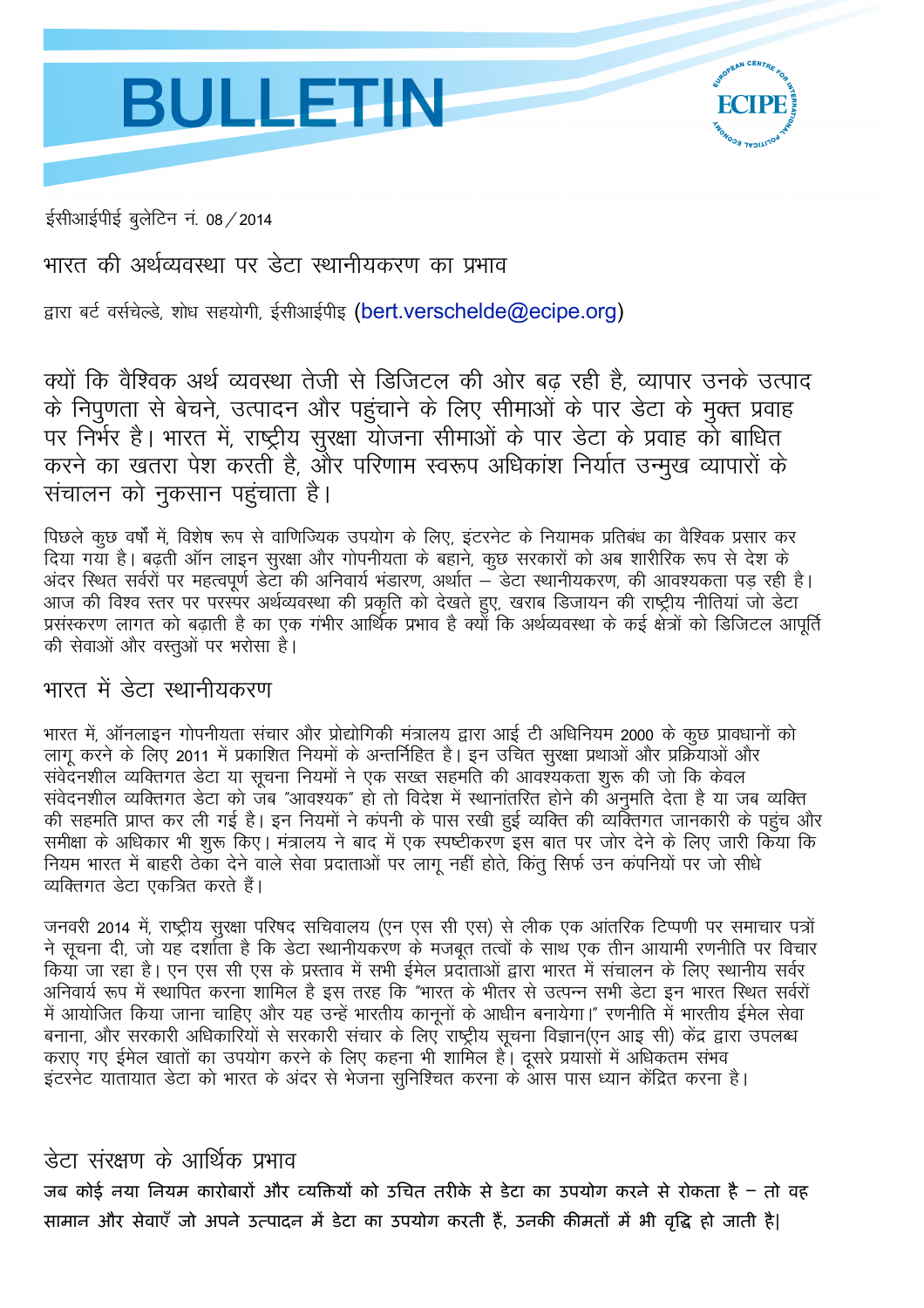# **BULLETIN**



ईसीआईपीई बुलेटिन नं. 08 / 2014

भारत की अर्थव्यवस्था पर डेटा स्थानीयकरण का प्रभाव

द्वारा बर्ट वर्सचेल्डे, शोध सहयोगी, ईसीआईपीइ (bert.verschelde@ecipe.org)

क्यों कि वैश्विक अर्थ व्यवस्था तेजी से डिजिटल की ओर बढ़ रही है, व्यापार उनके उत्पाद के निपुणता से बेचने, उत्पादन और पहुंचाने के लिए सीमाओं के पार डेटा के मुक्त प्रवाह पर निर्भर है। भारत में, राष्ट्रीय सुरक्षा योजना सीमाओं के पार डेटा के प्रवाह को बाधित करने का खतरा पेश करती है, और परिणाम स्वरूप अधिकांश निर्यात उन्मुख व्यापारों के संचालन को नुकसान पहुंचाता है।

पिछले कुछ वर्षों में, विशेष रूप से वाणिज्यिक उपयोग के लिए, इंटरनेट के नियामक प्रतिबंध का वैश्विक प्रसार कर दिया गया है। बढ़ती ऑन लाइन सुरक्षा और गोपनीयता के बहाने, कुछ सरकारों को अब शारीरिक रूप से देश के<br>अंदर स्थित सर्वरों पर महत्वपूर्ण डेटा की अनिवार्य भंडारण, अर्थात – डेटा स्थानीयकरण, की आवश्यकता पड़ रही है। आज की विश्व स्तर पर परस्पर अर्थव्यवस्था की प्रकृति को देखते हुए, खराब डिजायन की राष्ट्रीय नीतियां जो डेटा प्रसंस्करण लागत को बढ़ाती है का एक गंभीर आर्थिक प्रभाव है क्यों कि अर्थव्यवस्था के कई क्षेत्रों को डिजिटल आपूर्त की सेवाओं और वस्तओं पर भरोसा है।

## भारत में डेटा स्थानीयकरण

भारत में, ऑनलाइन गोपनीयता संचार और प्रोद्योगिकी मंत्रालय द्वारा आई टी अधिनियम 2000 के कुछ प्रावधानों को लागू करने के लिए 2011 में प्रकाशित नियमों के अन्तर्निहित है। इन उचित सुरक्षा प्रथाओं और प्रक्रियाओं और संवेदनशील व्यक्तिगत डेटा या सूचना नियमों ने एक सख्त सहमति की आवश्यकता शुरू की जो कि केवल संवेदनशील व्यक्तिगत डेटा को जब "आवश्यक" हो तो विदेश में स्थानांतरित होने की अनुमति देता है या जब व्यक्ति की सहमति प्राप्त कर ली गई है। इन नियमों ने कंपनी के पास रखी हुई व्यक्ति की व्यक्तिगत जानकारी के पहुंच और समीक्षा के अधिकार भी शुरू किए। मंत्रालय ने बाद में एक स्पष्टीकरण इस बात पर जोर देने के लिए जारी किया कि नियम भारत में बाहरी ठेका देने वाले सेवा प्रदाताओं पर लागू नहीं होते, किंतु सिर्फ उन कंपनियों पर जो सीधे व्यक्तिगत डेटा एकत्रित करते हैं।

जनवरी 2014 में, राष्ट्रीय सरक्षा परिषद सचिवालय (एन एस सी एस) से लीक एक आंतरिक टिप्पणी पर समाचार पत्रों ने सूचना दी, जो यह दर्शाता है कि डेटा स्थानीयकरण के मजबुत तत्वों के साथ एक तीन आयामी रणनीति पर विचार कियाँ जा रहा है। एन एस सी एस के प्रस्ताव में सभी ईमेल प्रदाताओं द्वारा भारत में संचालन के लिए स्थानीय सर्वर अनिवार्य रूप में स्थापित करना शामिल है इस तरह कि "भारत के भीतर से उत्पन्न सभी डेटा इन भारत स्थित सर्वरों में आयोजित किया जाना चाहिए और यह उन्हें भारतीय काननों के आधीन बनायेगा।" रणनीति में भारतीय ईमेल सेवा बनाना, और सरकारी अधिकारियों से सरकारी संचार के लिए राष्ट्रीय सूचना विज्ञान(एन आइ सी) केंद्र द्वारा उपलब्ध कराए गए ईमेल खातों का उपयोग करने के लिए कहना भी शामिल है। दूसरे प्रयासों में अधिकतम संभव इंटरनेट यातायात डेटा को भारत के अंदर से भेजना सुनिश्चित करना के आस पास ध्यान केंद्रित करना है।

## डेटा संरक्षण के आर्थिक प्रभाव

जब कोई नया नियम कारोबारों और व्यक्तियों को उचित तरीके से डेटा का उपयोग करने से रोकता है – तो वह सामान और सेवाएँ जो अपने उत्पादन में डेटा का उपयोग करती हैं, उनकी कीमतों में भी वृद्धि हो जाती है|